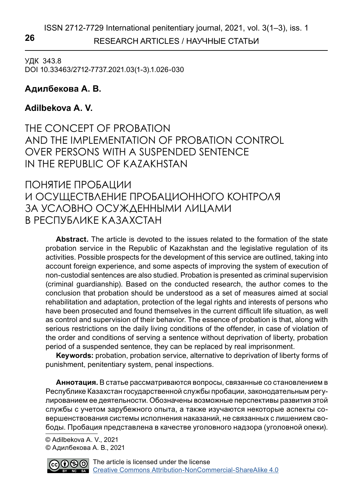RESEARCH ARTICLES / НАУЧНЫЕ СТАТЬИ **26**

УДК 343.8 DOI 10.33463/2712-7737.2021.03(1-3).1.026-030

# **Адилбекова А. В.**

## **Adilbekova A. V.**

THE CONCEPT OF PROBATION AND THE IMPLEMENTATION OF PROBATION CONTROL OVER PERSONS WITH A SUSPENDED SENTENCE IN THE REPUBLIC OF KAZAKHSTAN

ПОНЯТИЕ ПРОБАЦИИ И ОСУЩЕСТВЛЕНИЕ ПРОБАЦИОННОГО КОНТРОЛЯ ЗА УСЛОВНО ОСУЖДЕННЫМИ ЛИЦАМИ В РЕСПУБЛИКЕ КАЗАХСТАН

**Abstract.** The article is devoted to the issues related to the formation of the state probation service in the Republic of Kazakhstan and the legislative regulation of its activities. Possible prospects for the development of this service are outlined, taking into account foreign experience, and some aspects of improving the system of execution of non-custodial sentences are also studied. Probation is presented as criminal supervision (criminal guardianship). Based on the conducted research, the author comes to the conclusion that probation should be understood as a set of measures aimed at social rehabilitation and adaptation, protection of the legal rights and interests of persons who have been prosecuted and found themselves in the current difficult life situation, as well as control and supervision of their behavior. The essence of probation is that, along with serious restrictions on the daily living conditions of the offender, in case of violation of the order and conditions of serving a sentence without deprivation of liberty, probation period of a suspended sentence, they can be replaced by real imprisonment.

**Keywords:** probation, probation service, alternative to deprivation of liberty forms of punishment, penitentiary system, penal inspections.

**Аннотация.** В статье рассматриваются вопросы, связанные со становлением в Республике Казахстан государственной службы пробации, законодательным регулированием ее деятельности. Обозначены возможные перспективы развития этой службы с учетом зарубежного опыта, а также изучаются некоторые аспекты совершенствования системы исполнения наказаний, не связанных с лишением свободы. Пробация представлена в качестве уголовного надзора (уголовной опеки).

 © Adilbekova A. V., 2021 © Адилбекова А. В., 2021

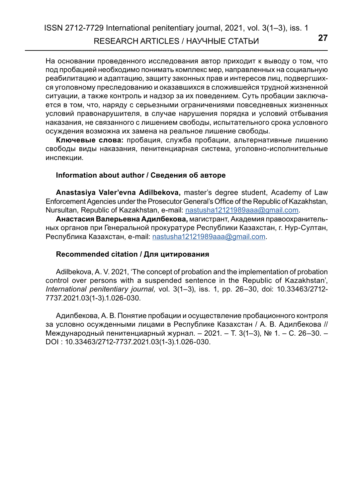На основании проведенного исследования автор приходит к выводу о том, что под пробацией необходимо понимать комплекс мер, направленных на социальную реабилитацию и адаптацию, защиту законных прав и интересов лиц, подвергшихся уголовному преследованию и оказавшихся в сложившейся трудной жизненной ситуации, а также контроль и надзор за их поведением. Суть пробации заключается в том, что, наряду с серьезными ограничениями повседневных жизненных условий правонарушителя, в случае нарушения порядка и условий отбывания наказания, не связанного с лишением свободы, испытательного срока условного осуждения возможна их замена на реальное лишение свободы.

**Ключевые слова:** пробация, служба пробации, альтернативные лишению свободы виды наказания, пенитенциарная система, уголовно-исполнительные инспекции.

#### **Information about author / Сведения об авторе**

**Anastasiya Valer'evna Adilbekova,** master's degree student, Academy of Law Enforcement Agencies under the Prosecutor General's Office of the Republic of Kazakhstan, Nursultan, Republic of Kazakhstan, e-mail: [nastusha12121989aaa@gmail.com.](mailto:nastusha12121989aaa%40gmail.com?subject=)

**Анастасия Валерьевна Адилбекова,** магистрант, Академия правоохранительных органов при Генеральной прокуратуре Республики Казахстан, г. Нур-Султан, Республика Казахстан, e-mail: [nastusha12121989aaa@gmail.com](mailto:nastusha12121989aaa%40gmail.com?subject=).

### **Recommended citation / Для цитирования**

Adilbekova, A. V. 2021, 'The concept of probation and the implementation of probation control over persons with a suspended sentence in the Republic of Kazakhstan', *International penitentiary journal,* vol. 3(1–3), iss. 1, pp. 26–30, doi: 10.33463/2712- 7737.2021.03(1-3).1.026-030.

Адилбекова, А. В. Понятие пробации и осуществление пробационного контроля за условно осужденными лицами в Республике Казахстан / А. В. Адилбекова // Международный пенитенциарный журнал. – 2021. – Т. 3(1–3), № 1. – С. 26–30. – DOI : 10.33463/2712-7737.2021.03(1-3).1.026-030.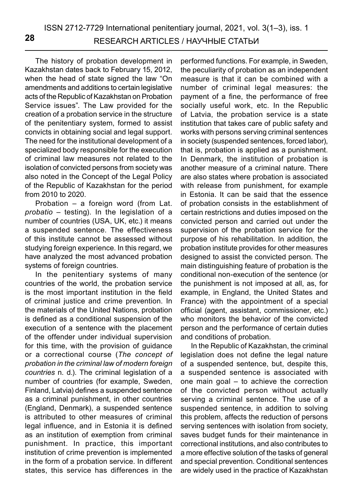The history of probation development in Kazakhstan dates back to February 15, 2012, when the head of state signed the law "On amendments and additions to certain legislative acts of the Republic of Kazakhstan on Probation Service issues". The Law provided for the creation of a probation service in the structure of the penitentiary system, formed to assist convicts in obtaining social and legal support. The need for the institutional development of a specialized body responsible for the execution of criminal law measures not related to the isolation of convicted persons from society was also noted in the Concept of the Legal Policy of the Republic of Kazakhstan for the period from 2010 to 2020.

Probation – a foreign word (from Lat. *probatio* – testing). In the legislation of a number of countries (USA, UK, etc.) it means a suspended sentence. The effectiveness of this institute cannot be assessed without studying foreign experience. In this regard, we have analyzed the most advanced probation systems of foreign countries.

In the penitentiary systems of many countries of the world, the probation service is the most important institution in the field of criminal justice and crime prevention. In the materials of the United Nations, probation is defined as a conditional suspension of the execution of a sentence with the placement of the offender under individual supervision for this time, with the provision of guidance or a correctional course (*The concept of probation in the criminal law of modern foreign countries* n. d.). The criminal legislation of a number of countries (for example, Sweden, Finland, Latvia) defines a suspended sentence as a criminal punishment, in other countries (England, Denmark), a suspended sentence is attributed to other measures of criminal legal influence, and in Estonia it is defined as an institution of exemption from criminal punishment. In practice, this important institution of crime prevention is implemented in the form of a probation service. In different states, this service has differences in the

performed functions. For example, in Sweden, the peculiarity of probation as an independent measure is that it can be combined with a number of criminal legal measures: the payment of a fine, the performance of free socially useful work, etc. In the Republic of Latvia, the probation service is a state institution that takes care of public safety and works with persons serving criminal sentences in society (suspended sentences, forced labor), that is, probation is applied as a punishment. In Denmark, the institution of probation is another measure of a criminal nature. There are also states where probation is associated with release from punishment, for example in Estonia. It can be said that the essence of probation consists in the establishment of certain restrictions and duties imposed on the convicted person and carried out under the supervision of the probation service for the purpose of his rehabilitation. In addition, the probation institute provides for other measures designed to assist the convicted person. The main distinguishing feature of probation is the conditional non-execution of the sentence (or the punishment is not imposed at all, as, for example, in England, the United States and France) with the appointment of a special official (agent, assistant, commissioner, etc.) who monitors the behavior of the convicted person and the performance of certain duties and conditions of probation.

In the Republic of Kazakhstan, the criminal legislation does not define the legal nature of a suspended sentence, but, despite this, a suspended sentence is associated with one main goal – to achieve the correction of the convicted person without actually serving a criminal sentence. The use of a suspended sentence, in addition to solving this problem, affects the reduction of persons serving sentences with isolation from society, saves budget funds for their maintenance in correctional institutions, and also contributes to a more effective solution of the tasks of general and special prevention. Conditional sentences are widely used in the practice of Kazakhstan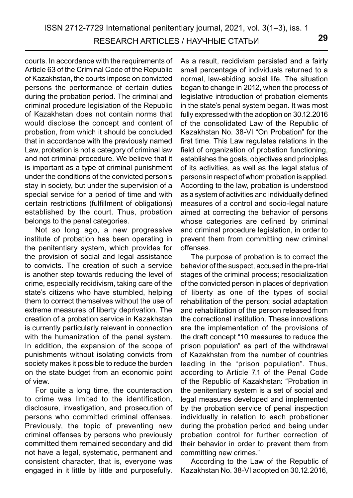courts. In accordance with the requirements of Article 63 of the Criminal Code of the Republic of Kazakhstan, the courts impose on convicted persons the performance of certain duties during the probation period. The criminal and criminal procedure legislation of the Republic of Kazakhstan does not contain norms that would disclose the concept and content of probation, from which it should be concluded that in accordance with the previously named Law, probation is not a category of criminal law and not criminal procedure. We believe that it is important as a type of criminal punishment under the conditions of the convicted person's stay in society, but under the supervision of a special service for a period of time and with certain restrictions (fulfillment of obligations) established by the court. Thus, probation belongs to the penal categories.

Not so long ago, a new progressive institute of probation has been operating in the penitentiary system, which provides for the provision of social and legal assistance to convicts. The creation of such a service is another step towards reducing the level of crime, especially recidivism, taking care of the state's citizens who have stumbled, helping them to correct themselves without the use of extreme measures of liberty deprivation. The creation of a probation service in Kazakhstan is currently particularly relevant in connection with the humanization of the penal system. In addition, the expansion of the scope of punishments without isolating convicts from society makes it possible to reduce the burden on the state budget from an economic point of view.

For quite a long time, the counteraction to crime was limited to the identification, disclosure, investigation, and prosecution of persons who committed criminal offenses. Previously, the topic of preventing new criminal offenses by persons who previously committed them remained secondary and did not have a legal, systematic, permanent and consistent character, that is, everyone was engaged in it little by little and purposefully. As a result, recidivism persisted and a fairly small percentage of individuals returned to a normal, law-abiding social life. The situation began to change in 2012, when the process of legislative introduction of probation elements in the state's penal system began. It was most fully expressed with the adoption on 30.12.2016 of the consolidated Law of the Republic of Kazakhstan No. 38-VI "On Probation" for the first time. This Law regulates relations in the field of organization of probation functioning, establishes the goals, objectives and principles of its activities, as well as the legal status of persons in respect of whom probation is applied. According to the law, probation is understood as a system of activities and individually defined measures of a control and socio-legal nature aimed at correcting the behavior of persons whose categories are defined by criminal and criminal procedure legislation, in order to prevent them from committing new criminal offenses.

The purpose of probation is to correct the behavior of the suspect, accused in the pre-trial stages of the criminal process; resocialization of the convicted person in places of deprivation of liberty as one of the types of social rehabilitation of the person; social adaptation and rehabilitation of the person released from the correctional institution. These innovations are the implementation of the provisions of the draft concept "10 measures to reduce the prison population" as part of the withdrawal of Kazakhstan from the number of countries leading in the "prison population". Thus, according to Article 7.1 of the Penal Code of the Republic of Kazakhstan: "Probation in the penitentiary system is a set of social and legal measures developed and implemented by the probation service of penal inspection individually in relation to each probationer during the probation period and being under probation control for further correction of their behavior in order to prevent them from committing new crimes."

According to the Law of the Republic of Kazakhstan No. 38-VI adopted on 30.12.2016,